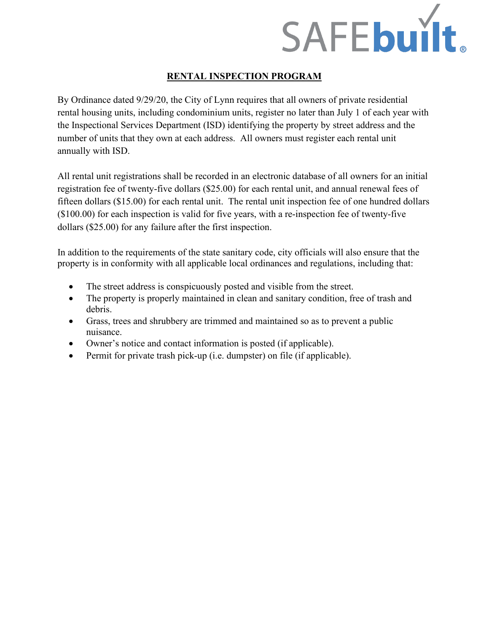

# **RENTAL INSPECTION PROGRAM**

By Ordinance dated 9/29/20, the City of Lynn requires that all owners of private residential rental housing units, including condominium units, register no later than July 1 of each year with the Inspectional Services Department (ISD) identifying the property by street address and the number of units that they own at each address. All owners must register each rental unit annually with ISD.

All rental unit registrations shall be recorded in an electronic database of all owners for an initial registration fee of twenty-five dollars (\$25.00) for each rental unit, and annual renewal fees of fifteen dollars (\$15.00) for each rental unit. The rental unit inspection fee of one hundred dollars (\$100.00) for each inspection is valid for five years, with a re-inspection fee of twenty-five dollars (\$25.00) for any failure after the first inspection.

In addition to the requirements of the state sanitary code, city officials will also ensure that the property is in conformity with all applicable local ordinances and regulations, including that:

- The street address is conspicuously posted and visible from the street.
- The property is properly maintained in clean and sanitary condition, free of trash and debris.
- Grass, trees and shrubbery are trimmed and maintained so as to prevent a public nuisance.
- Owner's notice and contact information is posted (if applicable).
- Permit for private trash pick-up (i.e. dumpster) on file (if applicable).